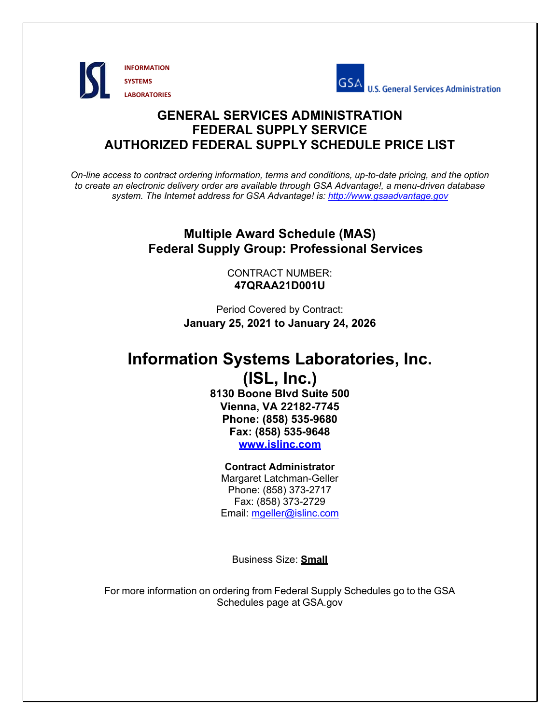



# **GENERAL SERVICES ADMINISTRATION FEDERAL SUPPLY SERVICE AUTHORIZED FEDERAL SUPPLY SCHEDULE PRICE LIST**

*On-line access to contract ordering information, terms and conditions, up-to-date pricing, and the option to create an electronic delivery order are available through GSA Advantage!, a menu-driven database system. The Internet address for GSA Advantage! is: http://www.gsaadvantage.gov*

# **Multiple Award Schedule (MAS) Federal Supply Group: Professional Services**

CONTRACT NUMBER: **47QRAA21D001U** 

Period Covered by Contract: **January 25, 2021 to January 24, 2026** 

# **Information Systems Laboratories, Inc.**

# **(ISL, Inc.) 8130 Boone Blvd Suite 500 Vienna, VA 22182-7745 Phone: (858) 535-9680 Fax: (858) 535-9648 www.islinc.com**

# **Contract Administrator**  Margaret Latchman-Geller

Phone: (858) 373-2717 Fax: (858) 373-2729 Email: mgeller@islinc.com

Business Size: **Small** 

For more information on ordering from Federal Supply Schedules go to the GSA Schedules page at GSA.gov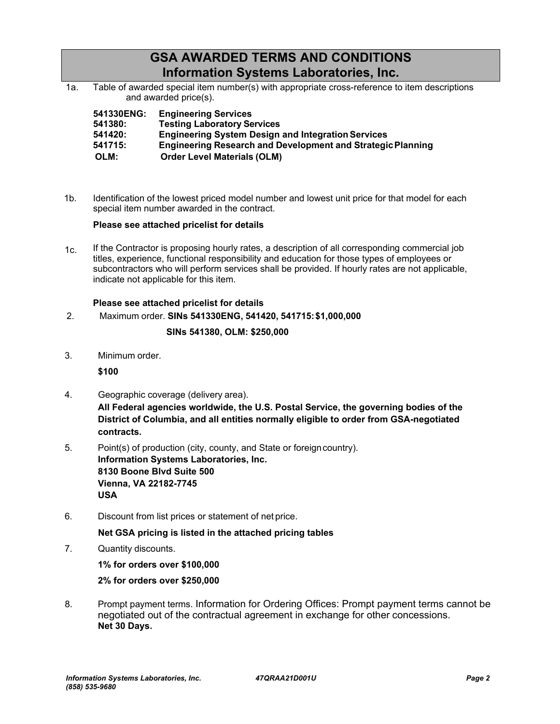# **GSA AWARDED TERMS AND CONDITIONS Information Systems Laboratories, Inc.**

1a. Table of awarded special item number(s) with appropriate cross-reference to item descriptions and awarded price(s).

| 541330ENG: | <b>Engineering Services</b>                                        |
|------------|--------------------------------------------------------------------|
| 541380:    | <b>Testing Laboratory Services</b>                                 |
| 541420:    | <b>Engineering System Design and Integration Services</b>          |
| 541715:    | <b>Engineering Research and Development and Strategic Planning</b> |
| OLM:       | <b>Order Level Materials (OLM)</b>                                 |

 $1<sub>b</sub>$ . Identification of the lowest priced model number and lowest unit price for that model for each special item number awarded in the contract.

# **Please see attached pricelist for details**

 $1c$ . If the Contractor is proposing hourly rates, a description of all corresponding commercial job titles, experience, functional responsibility and education for those types of employees or subcontractors who will perform services shall be provided. If hourly rates are not applicable, indicate not applicable for this item.

# **Please see attached pricelist for details**

2. Maximum order. **SINs 541330ENG, 541420, 541715: \$1,000,000** 

# **SINs 541380, OLM: \$250,000**

3. Minimum order.

**\$100** 

4. Geographic coverage (delivery area).

**All Federal agencies worldwide, the U.S. Postal Service, the governing bodies of the District of Columbia, and all entities normally eligible to order from GSA-negotiated contracts.** 

- 5. Point(s) of production (city, county, and State or foreign country). **Information Systems Laboratories, Inc. 8130 Boone Blvd Suite 500 Vienna, VA 22182-7745 USA**
- 6. Discount from list prices or statement of net price.

# **Net GSA pricing is listed in the attached pricing tables**

7. Quantity discounts.

**1% for orders over \$100,000** 

### **2% for orders over \$250,000**

8. Prompt payment terms. Information for Ordering Offices: Prompt payment terms cannot be negotiated out of the contractual agreement in exchange for other concessions. **Net 30 Days.**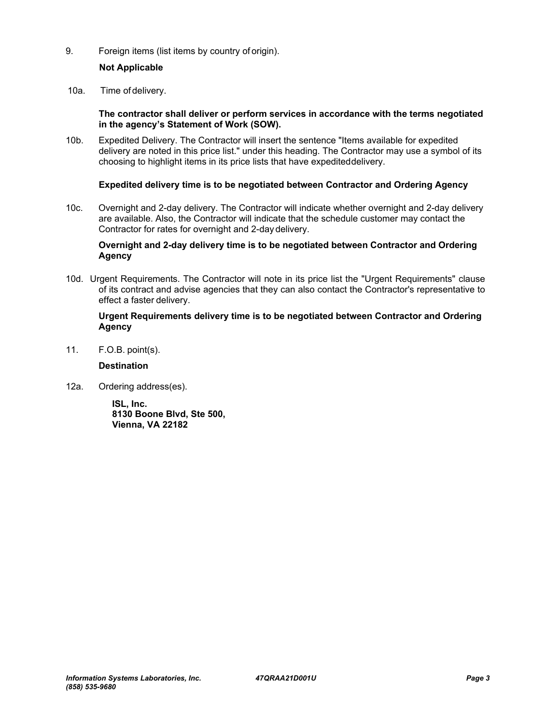# 9. Foreign items (list items by country of origin).

# **Not Applicable**

10a. Time of delivery.

### **The contractor shall deliver or perform services in accordance with the terms negotiated in the agency's Statement of Work (SOW).**

10b. Expedited Delivery. The Contractor will insert the sentence "Items available for expedited delivery are noted in this price list." under this heading. The Contractor may use a symbol of its choosing to highlight items in its price lists that have expedited delivery.

### **Expedited delivery time is to be negotiated between Contractor and Ordering Agency**

10c. Overnight and 2-day delivery. The Contractor will indicate whether overnight and 2-day delivery are available. Also, the Contractor will indicate that the schedule customer may contact the Contractor for rates for overnight and 2-day delivery.

### **Overnight and 2-day delivery time is to be negotiated between Contractor and Ordering Agency**

10d. Urgent Requirements. The Contractor will note in its price list the "Urgent Requirements" clause of its contract and advise agencies that they can also contact the Contractor's representative to effect a faster delivery.

### **Urgent Requirements delivery time is to be negotiated between Contractor and Ordering Agency**

11. F.O.B. point(s).

### **Destination**

12a. Ordering address(es).

**ISL, Inc. 8130 Boone Blvd, Ste 500, Vienna, VA 22182**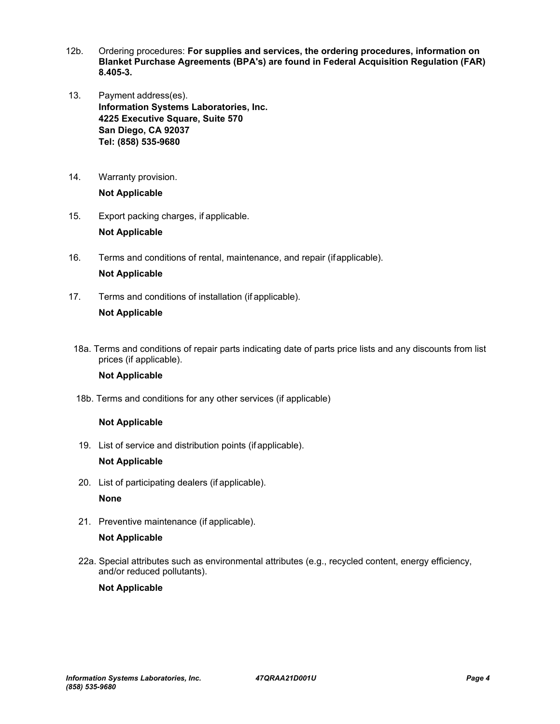- 12b. Ordering procedures: **For supplies and services, the ordering procedures, information on Blanket Purchase Agreements (BPA's) are found in Federal Acquisition Regulation (FAR) 8.405-3.**
- 13. Payment address(es). **Information Systems Laboratories, Inc. 4225 Executive Square, Suite 570 San Diego, CA 92037 Tel: (858) 535-9680**
- 14. Warranty provision. **Not Applicable**
- 15. Export packing charges, if applicable. **Not Applicable**
- 16. Terms and conditions of rental, maintenance, and repair (if applicable).

# **Not Applicable**

- 17. Terms and conditions of installation (if applicable). **Not Applicable**
- 18a. Terms and conditions of repair parts indicating date of parts price lists and any discounts from list prices (if applicable).

# **Not Applicable**

18b. Terms and conditions for any other services (if applicable)

# **Not Applicable**

19. List of service and distribution points (if applicable).

### **Not Applicable**

20. List of participating dealers (if applicable).

**None** 

21. Preventive maintenance (if applicable).

### **Not Applicable**

22a. Special attributes such as environmental attributes (e.g., recycled content, energy efficiency, and/or reduced pollutants).

### **Not Applicable**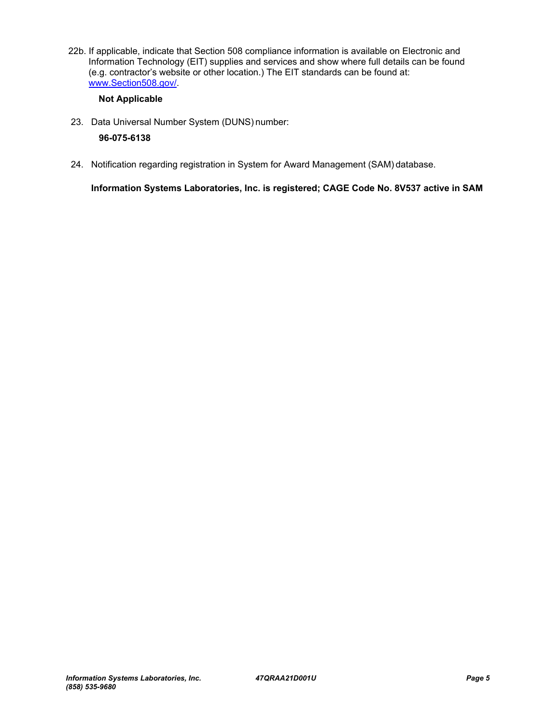22b. If applicable, indicate that Section 508 compliance information is available on Electronic and Information Technology (EIT) supplies and services and show where full details can be found (e.g. contractor's website or other location.) The EIT standards can be found at: www.Section508.gov/.

# **Not Applicable**

23. Data Universal Number System (DUNS) number:

# **96-075-6138**

24. Notification regarding registration in System for Award Management (SAM) database.

**Information Systems Laboratories, Inc. is registered; CAGE Code No. 8V537 active in SAM**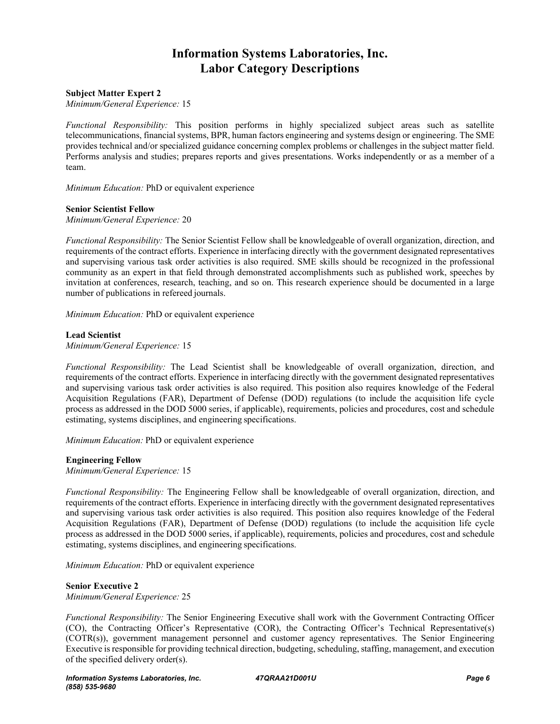# **Information Systems Laboratories, Inc. Labor Category Descriptions**

#### **Subject Matter Expert 2**

*Minimum/General Experience:* 15

*Functional Responsibility:* This position performs in highly specialized subject areas such as satellite telecommunications, financial systems, BPR, human factors engineering and systems design or engineering. The SME provides technical and/or specialized guidance concerning complex problems or challenges in the subject matter field. Performs analysis and studies; prepares reports and gives presentations. Works independently or as a member of a team.

*Minimum Education:* PhD or equivalent experience

#### **Senior Scientist Fellow**

*Minimum/General Experience:* 20

*Functional Responsibility:* The Senior Scientist Fellow shall be knowledgeable of overall organization, direction, and requirements of the contract efforts. Experience in interfacing directly with the government designated representatives and supervising various task order activities is also required. SME skills should be recognized in the professional community as an expert in that field through demonstrated accomplishments such as published work, speeches by invitation at conferences, research, teaching, and so on. This research experience should be documented in a large number of publications in refereed journals.

*Minimum Education:* PhD or equivalent experience

#### **Lead Scientist**

*Minimum/General Experience:* 15

*Functional Responsibility:* The Lead Scientist shall be knowledgeable of overall organization, direction, and requirements of the contract efforts. Experience in interfacing directly with the government designated representatives and supervising various task order activities is also required. This position also requires knowledge of the Federal Acquisition Regulations (FAR), Department of Defense (DOD) regulations (to include the acquisition life cycle process as addressed in the DOD 5000 series, if applicable), requirements, policies and procedures, cost and schedule estimating, systems disciplines, and engineering specifications.

*Minimum Education:* PhD or equivalent experience

#### **Engineering Fellow**

*Minimum/General Experience:* 15

*Functional Responsibility:* The Engineering Fellow shall be knowledgeable of overall organization, direction, and requirements of the contract efforts. Experience in interfacing directly with the government designated representatives and supervising various task order activities is also required. This position also requires knowledge of the Federal Acquisition Regulations (FAR), Department of Defense (DOD) regulations (to include the acquisition life cycle process as addressed in the DOD 5000 series, if applicable), requirements, policies and procedures, cost and schedule estimating, systems disciplines, and engineering specifications.

*Minimum Education:* PhD or equivalent experience

**Senior Executive 2**  *Minimum/General Experience:* 25

*Functional Responsibility:* The Senior Engineering Executive shall work with the Government Contracting Officer (CO), the Contracting Officer's Representative (COR), the Contracting Officer's Technical Representative(s) (COTR(s)), government management personnel and customer agency representatives. The Senior Engineering Executive is responsible for providing technical direction, budgeting, scheduling, staffing, management, and execution of the specified delivery order(s).

*Information Systems Laboratories, Inc. (858) 535-9680*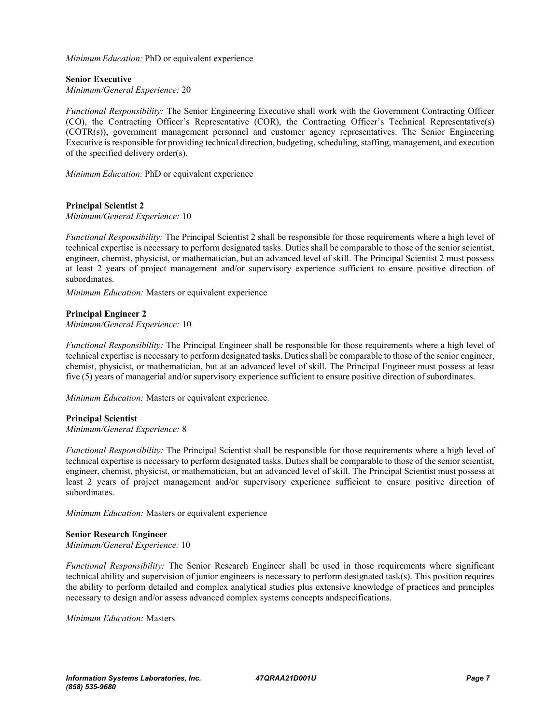*Minimum Education:* PhD or equivalent experience

**Senior Executive**  *Minimum/General Experience:* 20

*Functional Responsibility:* The Senior Engineering Executive shall work with the Government Contracting Officer (CO), the Contracting Officer's Representative (COR), the Contracting Officer's Technical Representative(s) (COTR(s)), government management personnel and customer agency representatives. The Senior Engineering Executive is responsible for providing technical direction, budgeting, scheduling, staffing, management, and execution of the specified delivery order(s).

*Minimum Education:* PhD or equivalent experience

#### **Principal Scientist 2**

*Minimum/General Experience:* 10

*Functional Responsibility:* The Principal Scientist 2 shall be responsible for those requirements where a high level of technical expertise is necessary to perform designated tasks. Duties shall be comparable to those of the senior scientist, engineer, chemist, physicist, or mathematician, but an advanced level of skill. The Principal Scientist 2 must possess at least 2 years of project management and/or supervisory experience sufficient to ensure positive direction of subordinates.

*Minimum Education:* Masters or equivalent experience

#### **Principal Engineer 2**

*Minimum/General Experience:* 10

*Functional Responsibility:* The Principal Engineer shall be responsible for those requirements where a high level of technical expertise is necessary to perform designated tasks. Duties shall be comparable to those of the senior engineer, chemist, physicist, or mathematician, but at an advanced level of skill. The Principal Engineer must possess at least five (5) years of managerial and/or supervisory experience sufficient to ensure positive direction of subordinates.

*Minimum Education:* Masters or equivalent experience.

#### **Principal Scientist**

*Minimum/General Experience:* 8

*Functional Responsibility:* The Principal Scientist shall be responsible for those requirements where a high level of technical expertise is necessary to perform designated tasks. Duties shall be comparable to those of the senior scientist, engineer, chemist, physicist, or mathematician, but an advanced level of skill. The Principal Scientist must possess at least 2 years of project management and/or supervisory experience sufficient to ensure positive direction of subordinates.

*Minimum Education:* Masters or equivalent experience

#### **Senior Research Engineer**

*Minimum/General Experience:* 10

*Functional Responsibility:* The Senior Research Engineer shall be used in those requirements where significant technical ability and supervision of junior engineers is necessary to perform designated task(s). This position requires the ability to perform detailed and complex analytical studies plus extensive knowledge of practices and principles necessary to design and/or assess advanced complex systems concepts and specifications.

*Minimum Education:* Masters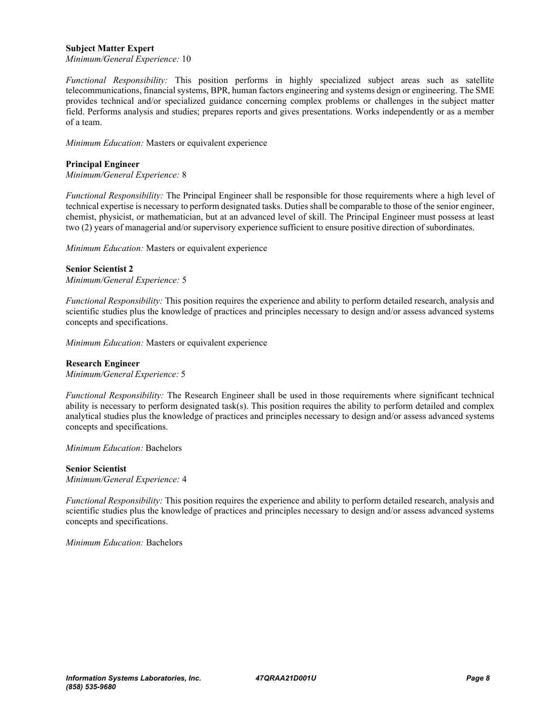#### **Subject Matter Expert**

*Minimum/General Experience:* 10

*Functional Responsibility:* This position performs in highly specialized subject areas such as satellite telecommunications, financial systems, BPR, human factors engineering and systems design or engineering. The SME provides technical and/or specialized guidance concerning complex problems or challenges in the subject matter field. Performs analysis and studies; prepares reports and gives presentations. Works independently or as a member of a team.

*Minimum Education:* Masters or equivalent experience

#### **Principal Engineer**

*Minimum/General Experience:* 8

*Functional Responsibility:* The Principal Engineer shall be responsible for those requirements where a high level of technical expertise is necessary to perform designated tasks. Duties shall be comparable to those of the senior engineer, chemist, physicist, or mathematician, but at an advanced level of skill. The Principal Engineer must possess at least two (2) years of managerial and/or supervisory experience sufficient to ensure positive direction of subordinates.

*Minimum Education:* Masters or equivalent experience

#### **Senior Scientist 2**

*Minimum/General Experience:* 5

*Functional Responsibility:* This position requires the experience and ability to perform detailed research, analysis and scientific studies plus the knowledge of practices and principles necessary to design and/or assess advanced systems concepts and specifications.

*Minimum Education:* Masters or equivalent experience

#### **Research Engineer**

*Minimum/General Experience:* 5

*Functional Responsibility:* The Research Engineer shall be used in those requirements where significant technical ability is necessary to perform designated task(s). This position requires the ability to perform detailed and complex analytical studies plus the knowledge of practices and principles necessary to design and/or assess advanced systems concepts and specifications.

*Minimum Education:* Bachelors

#### **Senior Scientist**

*Minimum/General Experience:* 4

*Functional Responsibility:* This position requires the experience and ability to perform detailed research, analysis and scientific studies plus the knowledge of practices and principles necessary to design and/or assess advanced systems concepts and specifications.

*Minimum Education:* Bachelors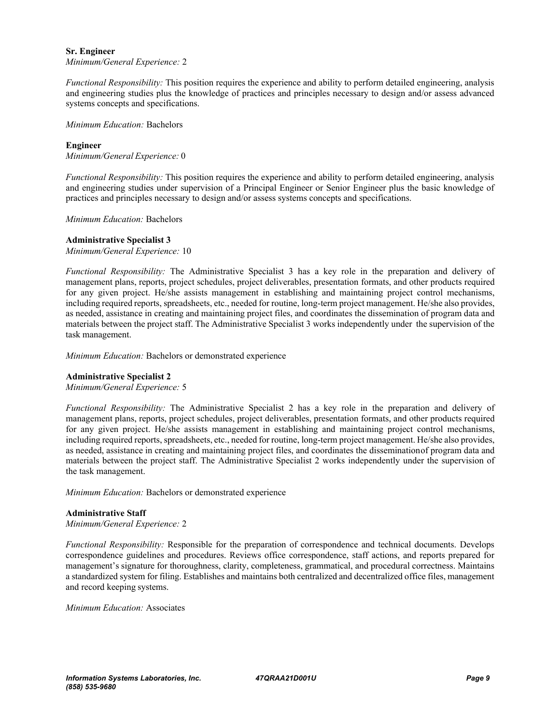#### **Sr. Engineer**

*Minimum/General Experience:* 2

*Functional Responsibility:* This position requires the experience and ability to perform detailed engineering, analysis and engineering studies plus the knowledge of practices and principles necessary to design and/or assess advanced systems concepts and specifications.

*Minimum Education:* Bachelors

# **Engineer**

*Minimum/General Experience:* 0

*Functional Responsibility:* This position requires the experience and ability to perform detailed engineering, analysis and engineering studies under supervision of a Principal Engineer or Senior Engineer plus the basic knowledge of practices and principles necessary to design and/or assess systems concepts and specifications.

*Minimum Education:* Bachelors

#### **Administrative Specialist 3**

*Minimum/General Experience:* 10

*Functional Responsibility:* The Administrative Specialist 3 has a key role in the preparation and delivery of management plans, reports, project schedules, project deliverables, presentation formats, and other products required for any given project. He/she assists management in establishing and maintaining project control mechanisms, including required reports, spreadsheets, etc., needed for routine, long-term project management. He/she also provides, as needed, assistance in creating and maintaining project files, and coordinates the dissemination of program data and materials between the project staff. The Administrative Specialist 3 works independently under the supervision of the task management.

*Minimum Education:* Bachelors or demonstrated experience

#### **Administrative Specialist 2**

*Minimum/General Experience:* 5

*Functional Responsibility:* The Administrative Specialist 2 has a key role in the preparation and delivery of management plans, reports, project schedules, project deliverables, presentation formats, and other products required for any given project. He/she assists management in establishing and maintaining project control mechanisms, including required reports, spreadsheets, etc., needed for routine, long-term project management. He/she also provides, as needed, assistance in creating and maintaining project files, and coordinates the disseminationof program data and materials between the project staff. The Administrative Specialist 2 works independently under the supervision of the task management.

*Minimum Education:* Bachelors or demonstrated experience

#### **Administrative Staff**

*Minimum/General Experience:* 2

*Functional Responsibility:* Responsible for the preparation of correspondence and technical documents. Develops correspondence guidelines and procedures. Reviews office correspondence, staff actions, and reports prepared for management's signature for thoroughness, clarity, completeness, grammatical, and procedural correctness. Maintains a standardized system for filing. Establishes and maintains both centralized and decentralized office files, management and record keeping systems.

*Minimum Education:* Associates